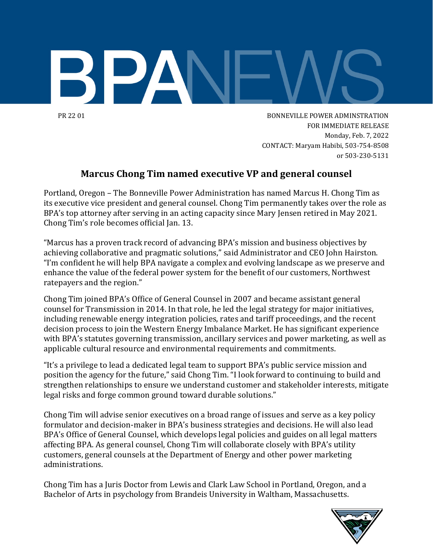

PR 22 01 BONNEVILLE POWER ADMINSTRATION FOR IMMEDIATE RELEASE Monday, Feb. 7, 2022 CONTACT: Maryam Habibi, 503-754-8508 or 503-230-5131

## **Marcus Chong Tim named executive VP and general counsel**

Portland, Oregon – The Bonneville Power Administration has named Marcus H. Chong Tim as its executive vice president and general counsel. Chong Tim permanently takes over the role as BPA's top attorney after serving in an acting capacity since Mary Jensen retired in May 2021. Chong Tim's role becomes official Jan. 13.

"Marcus has a proven track record of advancing BPA's mission and business objectives by achieving collaborative and pragmatic solutions," said Administrator and CEO John Hairston. "I'm confident he will help BPA navigate a complex and evolving landscape as we preserve and enhance the value of the federal power system for the benefit of our customers, Northwest ratepayers and the region."

Chong Tim joined BPA's Office of General Counsel in 2007 and became assistant general counsel for Transmission in 2014. In that role, he led the legal strategy for major initiatives, including renewable energy integration policies, rates and tariff proceedings, and the recent decision process to join the Western Energy Imbalance Market. He has significant experience with BPA's statutes governing transmission, ancillary services and power marketing, as well as applicable cultural resource and environmental requirements and commitments.

"It's a privilege to lead a dedicated legal team to support BPA's public service mission and position the agency for the future," said Chong Tim. "I look forward to continuing to build and strengthen relationships to ensure we understand customer and stakeholder interests, mitigate legal risks and forge common ground toward durable solutions."

Chong Tim will advise senior executives on a broad range of issues and serve as a key policy formulator and decision-maker in BPA's business strategies and decisions. He will also lead BPA's Office of General Counsel, which develops legal policies and guides on all legal matters affecting BPA. As general counsel, Chong Tim will collaborate closely with BPA's utility customers, general counsels at the Department of Energy and other power marketing administrations.

Chong Tim has a Juris Doctor from Lewis and Clark Law School in Portland, Oregon, and a Bachelor of Arts in psychology from Brandeis University in Waltham, Massachusetts.